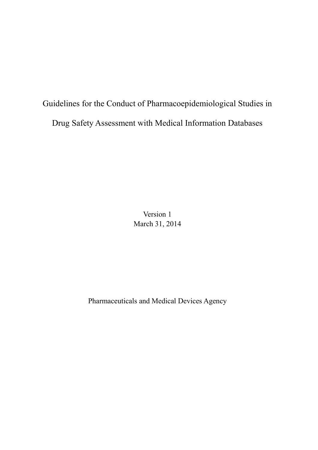Guidelines for the Conduct of Pharmacoepidemiological Studies in Drug Safety Assessment with Medical Information Databases

> Version 1 March 31, 2014

Pharmaceuticals and Medical Devices Agency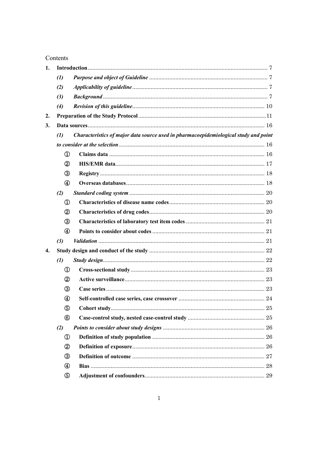## Contents

| 1. |                    |                                                                                      |    |
|----|--------------------|--------------------------------------------------------------------------------------|----|
|    | $\left( l\right)$  |                                                                                      |    |
|    | (2)                |                                                                                      |    |
|    | (3)                |                                                                                      |    |
|    | (4)                |                                                                                      |    |
| 2. |                    |                                                                                      |    |
| 3. |                    |                                                                                      |    |
|    | $\left( l\right)$  | Characteristics of major data source used in pharmacoepidemiological study and point |    |
|    |                    |                                                                                      |    |
|    | $^\circledR$       |                                                                                      |    |
|    | ②                  |                                                                                      |    |
|    | ③                  |                                                                                      |    |
|    | ④                  |                                                                                      |    |
|    | (2)                |                                                                                      |    |
|    | $^\mathrm{\oplus}$ |                                                                                      |    |
|    | ➁                  |                                                                                      |    |
|    | ③                  |                                                                                      |    |
|    | ④                  |                                                                                      |    |
|    | (3)                |                                                                                      |    |
| 4. |                    |                                                                                      |    |
|    | (1)                |                                                                                      |    |
|    | $^\circledR$       |                                                                                      |    |
|    | ②                  |                                                                                      |    |
|    | ③                  |                                                                                      |    |
|    | ④                  |                                                                                      |    |
|    | ⊕                  |                                                                                      |    |
|    | ⑯                  |                                                                                      |    |
|    | (2)                |                                                                                      |    |
|    | $^\mathrm{\oplus}$ |                                                                                      |    |
|    | $^\circledR$       |                                                                                      |    |
|    | ③                  |                                                                                      |    |
|    | ④                  |                                                                                      | 28 |
|    | ⊕                  |                                                                                      |    |
|    |                    |                                                                                      |    |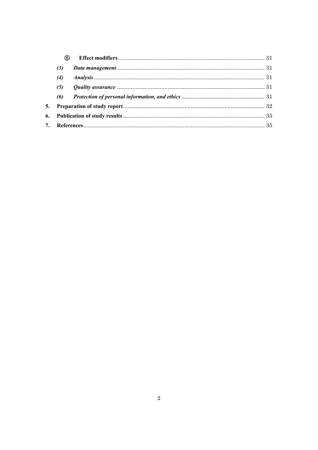|    | (6) |  |  |  |
|----|-----|--|--|--|
|    | (3) |  |  |  |
|    | (4) |  |  |  |
|    | (5) |  |  |  |
|    | (6) |  |  |  |
|    |     |  |  |  |
| 6. |     |  |  |  |
|    |     |  |  |  |
|    |     |  |  |  |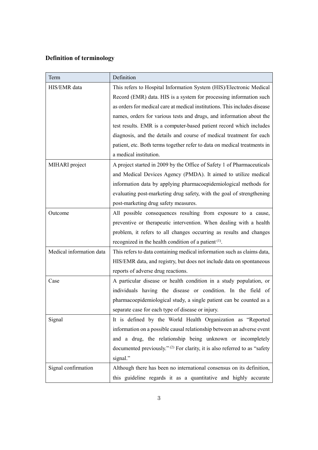# **Definition of terminology**

| Term                     | Definition                                                                 |
|--------------------------|----------------------------------------------------------------------------|
| HIS/EMR data             | This refers to Hospital Information System (HIS)/Electronic Medical        |
|                          | Record (EMR) data. HIS is a system for processing information such         |
|                          | as orders for medical care at medical institutions. This includes disease  |
|                          | names, orders for various tests and drugs, and information about the       |
|                          | test results. EMR is a computer-based patient record which includes        |
|                          | diagnosis, and the details and course of medical treatment for each        |
|                          | patient, etc. Both terms together refer to data on medical treatments in   |
|                          | a medical institution.                                                     |
| MIHARI project           | A project started in 2009 by the Office of Safety 1 of Pharmaceuticals     |
|                          | and Medical Devices Agency (PMDA). It aimed to utilize medical             |
|                          | information data by applying pharmacoepidemiological methods for           |
|                          | evaluating post-marketing drug safety, with the goal of strengthening      |
|                          | post-marketing drug safety measures.                                       |
| Outcome                  | All possible consequences resulting from exposure to a cause,              |
|                          | preventive or therapeutic intervention. When dealing with a health         |
|                          | problem, it refers to all changes occurring as results and changes         |
|                          | recognized in the health condition of a patient $(1)$ .                    |
| Medical information data | This refers to data containing medical information such as claims data,    |
|                          | HIS/EMR data, and registry, but does not include data on spontaneous       |
|                          | reports of adverse drug reactions.                                         |
| Case                     | A particular disease or health condition in a study population, or         |
|                          | individuals having the disease or condition. In the field of               |
|                          | pharmacoepidemiological study, a single patient can be counted as a        |
|                          | separate case for each type of disease or injury.                          |
| Signal                   | It is defined by the World Health Organization as "Reported                |
|                          | information on a possible causal relationship between an adverse event     |
|                          | and a drug, the relationship being unknown or incompletely                 |
|                          | documented previously." (2) For clarity, it is also referred to as "safety |
|                          | signal."                                                                   |
| Signal confirmation      | Although there has been no international consensus on its definition,      |
|                          | this guideline regards it as a quantitative and highly accurate            |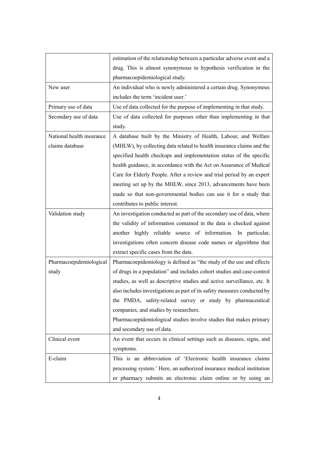|                           | estimation of the relationship between a particular adverse event and a  |  |  |  |
|---------------------------|--------------------------------------------------------------------------|--|--|--|
|                           | drug. This is almost synonymous to hypothesis verification in the        |  |  |  |
|                           | pharmacoepidemiological study.                                           |  |  |  |
| New user                  | An individual who is newly administered a certain drug. Synonymous       |  |  |  |
|                           | includes the term 'incident user.'                                       |  |  |  |
| Primary use of data       | Use of data collected for the purpose of implementing in that study.     |  |  |  |
| Secondary use of data     | Use of data collected for purposes other than implementing in that       |  |  |  |
|                           | study.                                                                   |  |  |  |
| National health insurance | A database built by the Ministry of Health, Labour, and Welfare          |  |  |  |
| claims database           | (MHLW), by collecting data related to health insurance claims and the    |  |  |  |
|                           | specified health checkups and implementation status of the specific      |  |  |  |
|                           | health guidance, in accordance with the Act on Assurance of Medical      |  |  |  |
|                           | Care for Elderly People. After a review and trial period by an expert    |  |  |  |
|                           | meeting set up by the MHLW, since 2013, advancements have been           |  |  |  |
|                           | made so that non-governmental bodies can use it for a study that         |  |  |  |
|                           | contributes to public interest.                                          |  |  |  |
| Validation study          | An investigation conducted as part of the secondary use of data, where   |  |  |  |
|                           | the validity of information contained in the data is checked against     |  |  |  |
|                           | another highly reliable source of information. In particular,            |  |  |  |
|                           | investigations often concern disease code names or algorithms that       |  |  |  |
|                           | extract specific cases from the data.                                    |  |  |  |
| Pharmacoepidemiological   | Pharmacoepidemiology is defined as "the study of the use and effects     |  |  |  |
| study                     | of drugs in a population" and includes cohort studies and case-control   |  |  |  |
|                           | studies, as well as descriptive studies and active surveillance, etc. It |  |  |  |
|                           | also includes investigations as part of its safety measures conducted by |  |  |  |
|                           | the PMDA, safety-related survey or study by pharmaceutical               |  |  |  |
|                           | companies, and studies by researchers.                                   |  |  |  |
|                           | Pharmacoepidemiological studies involve studies that makes primary       |  |  |  |
|                           | and secondary use of data.                                               |  |  |  |
| Clinical event            | An event that occurs in clinical settings such as diseases, signs, and   |  |  |  |
|                           | symptoms.                                                                |  |  |  |
| E-claim                   | This is an abbreviation of 'Electronic health insurance claims           |  |  |  |
|                           | processing system.' Here, an authorized insurance medical institution    |  |  |  |
|                           | or pharmacy submits an electronic claim online or by using an            |  |  |  |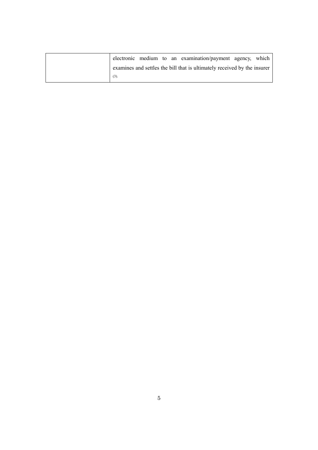|  |  | electronic medium to an examination/payment agency, which                |  |
|--|--|--------------------------------------------------------------------------|--|
|  |  | examines and settles the bill that is ultimately received by the insurer |  |
|  |  |                                                                          |  |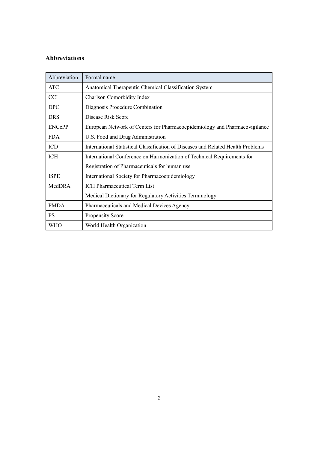## **Abbreviations**

| Abbreviation  | Formal name                                                                      |
|---------------|----------------------------------------------------------------------------------|
| ATC           | Anatomical Therapeutic Chemical Classification System                            |
| CCI           | <b>Charlson Comorbidity Index</b>                                                |
| <b>DPC</b>    | Diagnosis Procedure Combination                                                  |
| <b>DRS</b>    | Disease Risk Score                                                               |
| <b>ENCePP</b> | European Network of Centers for Pharmacoepidemiology and Pharmacovigilance       |
| <b>FDA</b>    | U.S. Food and Drug Administration                                                |
| <b>ICD</b>    | International Statistical Classification of Diseases and Related Health Problems |
| ICH           | International Conference on Harmonization of Technical Requirements for          |
|               | Registration of Pharmaceuticals for human use                                    |
| <b>ISPE</b>   | International Society for Pharmacoepidemiology                                   |
| MedDRA        | <b>ICH Pharmaceutical Term List</b>                                              |
|               | Medical Dictionary for Regulatory Activities Terminology                         |
| <b>PMDA</b>   | Pharmaceuticals and Medical Devices Agency                                       |
| <b>PS</b>     | <b>Propensity Score</b>                                                          |
| WHO           | World Health Organization                                                        |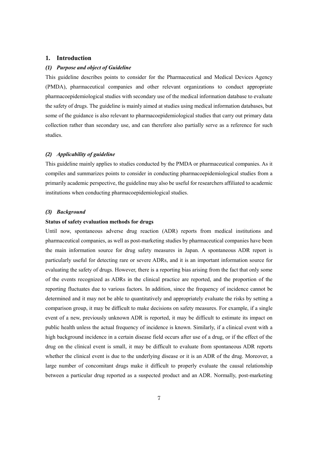## <span id="page-7-0"></span>**1. Introduction**

## <span id="page-7-1"></span>*(1) Purpose and object of Guideline*

This guideline describes points to consider for the Pharmaceutical and Medical Devices Agency (PMDA), pharmaceutical companies and other relevant organizations to conduct appropriate pharmacoepidemiological studies with secondary use of the medical information database to evaluate the safety of drugs. The guideline is mainly aimed at studies using medical information databases, but some of the guidance is also relevant to pharmacoepidemiological studies that carry out primary data collection rather than secondary use, and can therefore also partially serve as a reference for such studies.

## <span id="page-7-2"></span>*(2) Applicability of guideline*

This guideline mainly applies to studies conducted by the PMDA or pharmaceutical companies. As it compiles and summarizes points to consider in conducting pharmacoepidemiological studies from a primarily academic perspective, the guideline may also be useful for researchers affiliated to academic institutions when conducting pharmacoepidemiological studies.

## <span id="page-7-3"></span>*(3) Background*

#### **Status of safety evaluation methods for drugs**

Until now, spontaneous adverse drug reaction (ADR) reports from medical institutions and pharmaceutical companies, as well as post-marketing studies by pharmaceutical companies have been the main information source for drug safety measures in Japan. A spontaneous ADR report is particularly useful for detecting rare or severe ADRs, and it is an important information source for evaluating the safety of drugs. However, there is a reporting bias arising from the fact that only some of the events recognized as ADRs in the clinical practice are reported, and the proportion of the reporting fluctuates due to various factors. In addition, since the frequency of incidence cannot be determined and it may not be able to quantitatively and appropriately evaluate the risks by setting a comparison group, it may be difficult to make decisions on safety measures. For example, if a single event of a new, previously unknown ADR is reported, it may be difficult to estimate its impact on public health unless the actual frequency of incidence is known. Similarly, if a clinical event with a high background incidence in a certain disease field occurs after use of a drug, or if the effect of the drug on the clinical event is small, it may be difficult to evaluate from spontaneous ADR reports whether the clinical event is due to the underlying disease or it is an ADR of the drug. Moreover, a large number of concomitant drugs make it difficult to properly evaluate the causal relationship between a particular drug reported as a suspected product and an ADR. Normally, post-marketing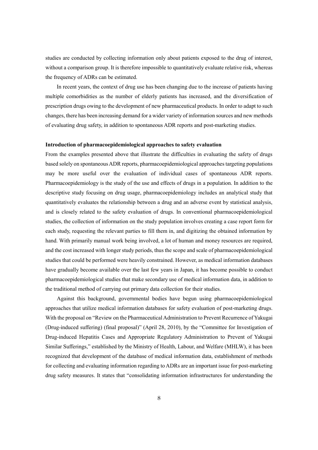studies are conducted by collecting information only about patients exposed to the drug of interest, without a comparison group. It is therefore impossible to quantitatively evaluate relative risk, whereas the frequency of ADRs can be estimated.

In recent years, the context of drug use has been changing due to the increase of patients having multiple comorbidities as the number of elderly patients has increased, and the diversification of prescription drugs owing to the development of new pharmaceutical products. In order to adapt to such changes, there has been increasing demand for a wider variety of information sources and new methods of evaluating drug safety, in addition to spontaneous ADR reports and post-marketing studies.

### **Introduction of pharmacoepidemiological approaches to safety evaluation**

From the examples presented above that illustrate the difficulties in evaluating the safety of drugs based solely on spontaneous ADR reports, pharmacoepidemiological approaches targeting populations may be more useful over the evaluation of individual cases of spontaneous ADR reports. Pharmacoepidemiology is the study of the use and effects of drugs in a population. In addition to the descriptive study focusing on drug usage, pharmacoepidemiology includes an analytical study that quantitatively evaluates the relationship between a drug and an adverse event by statistical analysis, and is closely related to the safety evaluation of drugs. In conventional pharmacoepidemiological studies, the collection of information on the study population involves creating a case report form for each study, requesting the relevant parties to fill them in, and digitizing the obtained information by hand. With primarily manual work being involved, a lot of human and money resources are required, and the cost increased with longer study periods, thus the scope and scale of pharmacoepidemiological studies that could be performed were heavily constrained. However, as medical information databases have gradually become available over the last few years in Japan, it has become possible to conduct pharmacoepidemiological studies that make secondary use of medical information data, in addition to the traditional method of carrying out primary data collection for their studies.

Against this background, governmental bodies have begun using pharmacoepidemiological approaches that utilize medical information databases for safety evaluation of post-marketing drugs. With the proposal on "Review on the Pharmaceutical Administration to Prevent Recurrence of Yakugai (Drug-induced suffering) (final proposal)" (April 28, 2010), by the "Committee for Investigation of Drug-induced Hepatitis Cases and Appropriate Regulatory Administration to Prevent of Yakugai Similar Sufferings," established by the Ministry of Health, Labour, and Welfare (MHLW), it has been recognized that development of the database of medical information data, establishment of methods for collecting and evaluating information regarding to ADRs are an important issue for post-marketing drug safety measures. It states that "consolidating information infrastructures for understanding the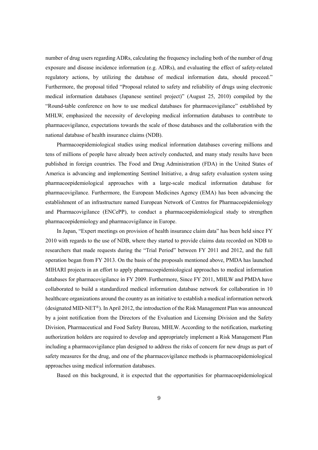number of drug users regarding ADRs, calculating the frequency including both of the number of drug exposure and disease incidence information (e.g. ADRs), and evaluating the effect of safety-related regulatory actions, by utilizing the database of medical information data, should proceed." Furthermore, the proposal titled "Proposal related to safety and reliability of drugs using electronic medical information databases (Japanese sentinel project)" (August 25, 2010) compiled by the "Round-table conference on how to use medical databases for pharmacovigilance" established by MHLW, emphasized the necessity of developing medical information databases to contribute to pharmacovigilance, expectations towards the scale of those databases and the collaboration with the national database of health insurance claims (NDB).

Pharmacoepidemiological studies using medical information databases covering millions and tens of millions of people have already been actively conducted, and many study results have been published in foreign countries. The Food and Drug Administration (FDA) in the United States of America is advancing and implementing Sentinel Initiative, a drug safety evaluation system using pharmacoepidemiological approaches with a large-scale medical information database for pharmacovigilance. Furthermore, the European Medicines Agency (EMA) has been advancing the establishment of an infrastructure named European Network of Centres for Pharmacoepidemiology and Pharmacovigilance (ENCePP), to conduct a pharmacoepidemiological study to strengthen pharmacoepidemiology and pharmacovigilance in Europe.

In Japan, "Expert meetings on provision of health insurance claim data" has been held since FY 2010 with regards to the use of NDB, where they started to provide claims data recorded on NDB to researchers that made requests during the "Trial Period" between FY 2011 and 2012, and the full operation began from FY 2013. On the basis of the proposals mentioned above, PMDA has launched MIHARI projects in an effort to apply pharmacoepidemiological approaches to medical information databases for pharmacovigilance in FY 2009. Furthermore, Since FY 2011, MHLW and PMDA have collaborated to build a standardized medical information database network for collaboration in 10 healthcare organizations around the country as an initiative to establish a medical information network (designated MID-NET®). In April 2012, the introduction of the Risk Management Plan was announced by a joint notification from the Directors of the Evaluation and Licensing Division and the Safety Division, Pharmaceutical and Food Safety Bureau, MHLW. According to the notification, marketing authorization holders are required to develop and appropriately implement a Risk Management Plan including a pharmacovigilance plan designed to address the risks of concern for new drugs as part of safety measures for the drug, and one of the pharmacovigilance methods is pharmacoepidemiological approaches using medical information databases.

Based on this background, it is expected that the opportunities for pharmacoepidemiological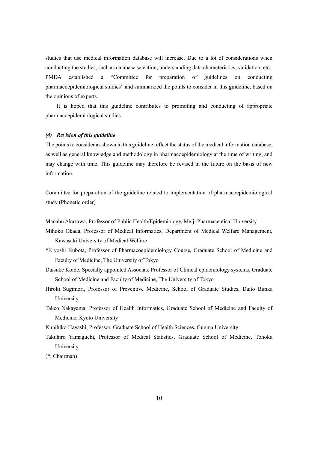studies that use medical information database will increase. Due to a lot of considerations when conducting the studies, such as database selection, understanding data characteristics, validation, etc., PMDA established a "Committee for preparation of guidelines on conducting pharmacoepidemiological studies" and summarized the points to consider in this guideline, based on the opinions of experts.

It is hoped that this guideline contributes to promoting and conducting of appropriate pharmacoepidemiological studies.

## <span id="page-10-0"></span>*(4) Revision of this guideline*

The points to consider as shown in this guideline reflect the status of the medical information database, as well as general knowledge and methodology in pharmacoepidemiology at the time of writing, and may change with time. This guideline may therefore be revised in the future on the basis of new information.

Committee for preparation of the guideline related to implementation of pharmacoepidemiological study (Phonetic order)

- Manabu Akazawa, Professor of Public Health/Epidemiology, Meiji Pharmaceutical University
- Mihoko Okada, Professor of Medical Informatics, Department of Medical Welfare Management, Kawasaki University of Medical Welfare
- \*Kiyoshi Kubota, Professor of Pharmacoepidemiology Course, Graduate School of Medicine and Faculty of Medicine, The University of Tokyo
- Daisuke Koide, Specially appointed Associate Professor of Clinical epidemiology systems, Graduate School of Medicine and Faculty of Medicine, The University of Tokyo
- Hiroki Sugimori, Professor of Preventive Medicine, School of Graduate Studies, Daito Bunka University
- Takeo Nakayama, Professor of Health Informatics, Graduate School of Medicine and Faculty of Medicine, Kyoto University
- Kunihiko Hayashi, Professor, Graduate School of Health Sciences, Gunma University
- Takuhiro Yamaguchi, Professor of Medical Statistics, Graduate School of Medicine, Tohoku University

(\*: Chairman)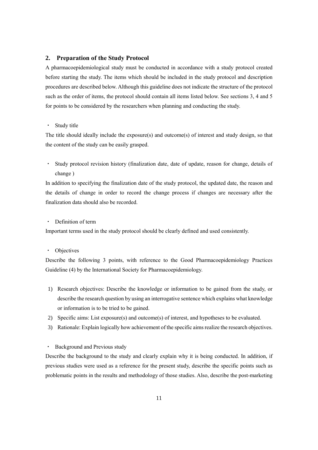## <span id="page-11-0"></span>**2. Preparation of the Study Protocol**

A pharmacoepidemiological study must be conducted in accordance with a study protocol created before starting the study. The items which should be included in the study protocol and description procedures are described below. Although this guideline does not indicate the structure of the protocol such as the order of items, the protocol should contain all items listed below. See sections 3, 4 and 5 for points to be considered by the researchers when planning and conducting the study.

## Study title

The title should ideally include the exposure(s) and outcome(s) of interest and study design, so that the content of the study can be easily grasped.

・ Study protocol revision history (finalization date, date of update, reason for change, details of change )

In addition to specifying the finalization date of the study protocol, the updated date, the reason and the details of change in order to record the change process if changes are necessary after the finalization data should also be recorded.

## Definition of term

Important terms used in the study protocol should be clearly defined and used consistently.

### ・ Objectives

Describe the following 3 points, with reference to the Good Pharmacoepidemiology Practices Guideline (4) by the International Society for Pharmacoepidemiology.

- 1) Research objectives: Describe the knowledge or information to be gained from the study, or describe the research question by using an interrogative sentence which explains what knowledge or information is to be tried to be gained.
- 2) Specific aims: List exposure(s) and outcome(s) of interest, and hypotheses to be evaluated.
- 3) Rationale: Explain logically how achievement of the specific aims realize the research objectives.
- ・ Background and Previous study

Describe the background to the study and clearly explain why it is being conducted. In addition, if previous studies were used as a reference for the present study, describe the specific points such as problematic points in the results and methodology of those studies. Also, describe the post-marketing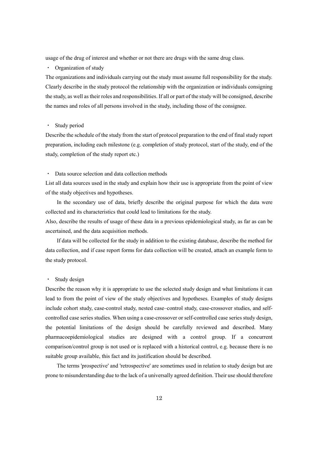usage of the drug of interest and whether or not there are drugs with the same drug class.

・ Organization of study

The organizations and individuals carrying out the study must assume full responsibility for the study. Clearly describe in the study protocol the relationship with the organization or individuals consigning the study, as well as their roles and responsibilities. If all or part of the study will be consigned, describe the names and roles of all persons involved in the study, including those of the consignee.

### Study period

Describe the schedule of the study from the start of protocol preparation to the end of final study report preparation, including each milestone (e.g. completion of study protocol, start of the study, end of the study, completion of the study report etc.)

## Data source selection and data collection methods

List all data sources used in the study and explain how their use is appropriate from the point of view of the study objectives and hypotheses.

In the secondary use of data, briefly describe the original purpose for which the data were collected and its characteristics that could lead to limitations for the study.

Also, describe the results of usage of these data in a previous epidemiological study, as far as can be ascertained, and the data acquisition methods.

If data will be collected for the study in addition to the existing database, describe the method for data collection, and if case report forms for data collection will be created, attach an example form to the study protocol.

## ・ Study design

Describe the reason why it is appropriate to use the selected study design and what limitations it can lead to from the point of view of the study objectives and hypotheses. Examples of study designs include cohort study, case-control study, nested case–control study, case-crossover studies, and selfcontrolled case series studies. When using a case-crossover or self-controlled case series study design, the potential limitations of the design should be carefully reviewed and described. Many pharmacoepidemiological studies are designed with a control group. If a concurrent comparison/control group is not used or is replaced with a historical control, e.g. because there is no suitable group available, this fact and its justification should be described.

The terms 'prospective' and 'retrospective' are sometimes used in relation to study design but are prone to misunderstanding due to the lack of a universally agreed definition. Their use should therefore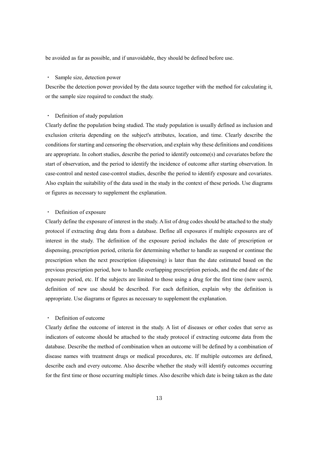be avoided as far as possible, and if unavoidable, they should be defined before use.

#### Sample size, detection power

Describe the detection power provided by the data source together with the method for calculating it, or the sample size required to conduct the study.

## ・ Definition of study population

Clearly define the population being studied. The study population is usually defined as inclusion and exclusion criteria depending on the subject's attributes, location, and time. Clearly describe the conditions for starting and censoring the observation, and explain why these definitions and conditions are appropriate. In cohort studies, describe the period to identify outcome(s) and covariates before the start of observation, and the period to identify the incidence of outcome after starting observation. In case-control and nested case-control studies, describe the period to identify exposure and covariates. Also explain the suitability of the data used in the study in the context of these periods. Use diagrams or figures as necessary to supplement the explanation.

## ・ Definition of exposure

Clearly define the exposure of interest in the study. A list of drug codes should be attached to the study protocol if extracting drug data from a database. Define all exposures if multiple exposures are of interest in the study. The definition of the exposure period includes the date of prescription or dispensing, prescription period, criteria for determining whether to handle as suspend or continue the prescription when the next prescription (dispensing) is later than the date estimated based on the previous prescription period, how to handle overlapping prescription periods, and the end date of the exposure period, etc. If the subjects are limited to those using a drug for the first time (new users), definition of new use should be described. For each definition, explain why the definition is appropriate. Use diagrams or figures as necessary to supplement the explanation.

#### Definition of outcome

Clearly define the outcome of interest in the study. A list of diseases or other codes that serve as indicators of outcome should be attached to the study protocol if extracting outcome data from the database. Describe the method of combination when an outcome will be defined by a combination of disease names with treatment drugs or medical procedures, etc. If multiple outcomes are defined, describe each and every outcome. Also describe whether the study will identify outcomes occurring for the first time or those occurring multiple times. Also describe which date is being taken as the date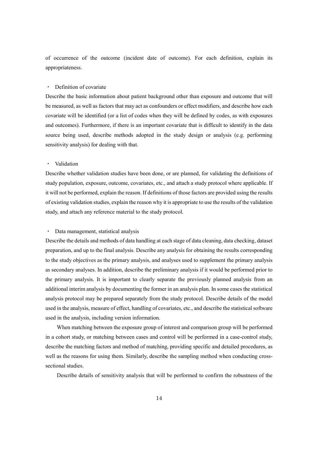of occurrence of the outcome (incident date of outcome). For each definition, explain its appropriateness.

#### ・ Definition of covariate

Describe the basic information about patient background other than exposure and outcome that will be measured, as well as factors that may act as confounders or effect modifiers, and describe how each covariate will be identified (or a list of codes when they will be defined by codes, as with exposures and outcomes). Furthermore, if there is an important covariate that is difficult to identify in the data source being used, describe methods adopted in the study design or analysis (e.g. performing sensitivity analysis) for dealing with that.

#### ・ Validation

Describe whether validation studies have been done, or are planned, for validating the definitions of study population, exposure, outcome, covariates, etc., and attach a study protocol where applicable. If it will not be performed, explain the reason. If definitions of those factors are provided using the results of existing validation studies, explain the reason why it is appropriate to use the results of the validation study, and attach any reference material to the study protocol.

#### ・ Data management, statistical analysis

Describe the details and methods of data handling at each stage of data cleaning, data checking, dataset preparation, and up to the final analysis. Describe any analysis for obtaining the results corresponding to the study objectives as the primary analysis, and analyses used to supplement the primary analysis as secondary analyses. In addition, describe the preliminary analysis if it would be performed prior to the primary analysis. It is important to clearly separate the previously planned analysis from an additional interim analysis by documenting the former in an analysis plan. In some cases the statistical analysis protocol may be prepared separately from the study protocol. Describe details of the model used in the analysis, measure of effect, handling of covariates, etc., and describe the statistical software used in the analysis, including version information.

When matching between the exposure group of interest and comparison group will be performed in a cohort study, or matching between cases and control will be performed in a case-control study, describe the matching factors and method of matching, providing specific and detailed procedures, as well as the reasons for using them. Similarly, describe the sampling method when conducting crosssectional studies.

Describe details of sensitivity analysis that will be performed to confirm the robustness of the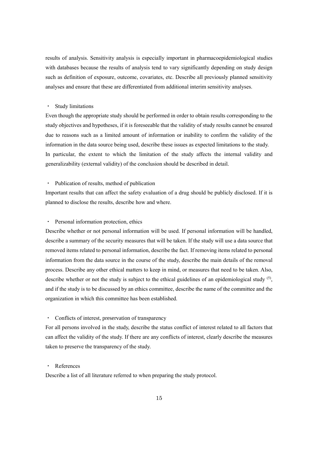results of analysis. Sensitivity analysis is especially important in pharmacoepidemiological studies with databases because the results of analysis tend to vary significantly depending on study design such as definition of exposure, outcome, covariates, etc. Describe all previously planned sensitivity analyses and ensure that these are differentiated from additional interim sensitivity analyses.

#### ・ Study limitations

Even though the appropriate study should be performed in order to obtain results corresponding to the study objectives and hypotheses, if it is foreseeable that the validity of study results cannot be ensured due to reasons such as a limited amount of information or inability to confirm the validity of the information in the data source being used, describe these issues as expected limitations to the study. In particular, the extent to which the limitation of the study affects the internal validity and generalizability (external validity) of the conclusion should be described in detail.

#### ・ Publication of results, method of publication

Important results that can affect the safety evaluation of a drug should be publicly disclosed. If it is planned to disclose the results, describe how and where.

## Personal information protection, ethics

Describe whether or not personal information will be used. If personal information will be handled, describe a summary of the security measures that will be taken. If the study will use a data source that removed items related to personal information, describe the fact. If removing items related to personal information from the data source in the course of the study, describe the main details of the removal process. Describe any other ethical matters to keep in mind, or measures that need to be taken. Also, describe whether or not the study is subject to the ethical guidelines of an epidemiological study <sup>(5)</sup>, and if the study is to be discussed by an ethics committee, describe the name of the committee and the organization in which this committee has been established.

## Conflicts of interest, preservation of transparency

For all persons involved in the study, describe the status conflict of interest related to all factors that can affect the validity of the study. If there are any conflicts of interest, clearly describe the measures taken to preserve the transparency of the study.

## **References**

Describe a list of all literature referred to when preparing the study protocol.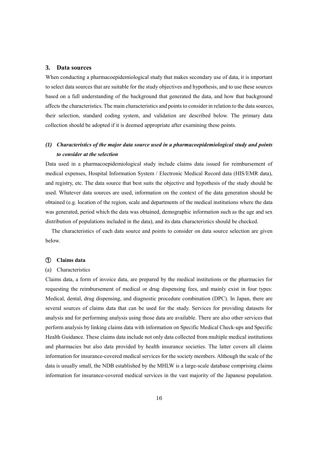## <span id="page-16-0"></span>**3. Data sources**

When conducting a pharmacoepidemiological study that makes secondary use of data, it is important to select data sources that are suitable for the study objectives and hypothesis, and to use these sources based on a full understanding of the background that generated the data, and how that background affects the characteristics. The main characteristics and points to consider in relation to the data sources, their selection, standard coding system, and validation are described below. The primary data collection should be adopted if it is deemed appropriate after examining these points.

## <span id="page-16-1"></span>*(1) Characteristics of the major data source used in a pharmacoepidemiological study and points to consider at the selection*

Data used in a pharmacoepidemiological study include claims data issued for reimbursement of medical expenses, Hospital Information System / Electronic Medical Record data (HIS/EMR data), and registry, etc. The data source that best suits the objective and hypothesis of the study should be used. Whatever data sources are used, information on the context of the data generation should be obtained (e.g. location of the region, scale and departments of the medical institutions where the data was generated, period which the data was obtained, demographic information such as the age and sex distribution of populations included in the data), and its data characteristics should be checked.

The characteristics of each data source and points to consider on data source selection are given below.

## <span id="page-16-2"></span>① **Claims data**

#### (a) Characteristics

Claims data, a form of invoice data, are prepared by the medical institutions or the pharmacies for requesting the reimbursement of medical or drug dispensing fees, and mainly exist in four types: Medical, dental, drug dispensing, and diagnostic procedure combination (DPC). In Japan, there are several sources of claims data that can be used for the study. Services for providing datasets for analysis and for performing analysis using those data are available. There are also other services that perform analysis by linking claims data with information on Specific Medical Check-ups and Specific Health Guidance. These claims data include not only data collected from multiple medical institutions and pharmacies but also data provided by health insurance societies. The latter covers all claims information for insurance-covered medical services for the society members. Although the scale of the data is usually small, the NDB established by the MHLW is a large-scale database comprising claims information for insurance-covered medical services in the vast majority of the Japanese population.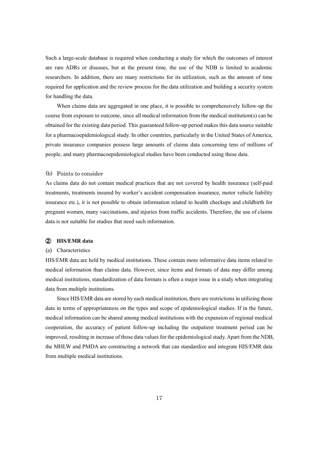Such a large-scale database is required when conducting a study for which the outcomes of interest are rare ADRs or diseases, but at the present time, the use of the NDB is limited to academic researchers. In addition, there are many restrictions for its utilization, such as the amount of time required for application and the review process for the data utilization and building a security system for handling the data.

When claims data are aggregated in one place, it is possible to comprehensively follow-up the course from exposure to outcome, since all medical information from the medical institution(s) can be obtained for the existing data period. This guaranteed follow-up period makes this data source suitable for a pharmacoepidemiological study. In other countries, particularly in the United States of America, private insurance companies possess large amounts of claims data concerning tens of millions of people, and many pharmacoepidemiological studies have been conducted using these data.

## (b) Points to consider

As claims data do not contain medical practices that are not covered by health insurance (self-paid treatments, treatments insured by worker's accident compensation insurance, motor vehicle liability insurance etc.), it is not possible to obtain information related to health checkups and childbirth for pregnant women, many vaccinations, and injuries from traffic accidents. Therefore, the use of claims data is not suitable for studies that need such information.

## <span id="page-17-0"></span>② **HIS/EMR data**

## (a) Characteristics

HIS/EMR data are held by medical institutions. These contain more informative data items related to medical information than claims data. However, since items and formats of data may differ among medical institutions, standardization of data formats is often a major issue in a study when integrating data from multiple institutions.

Since HIS/EMR data are stored by each medical institution, there are restrictions in utilizing those data in terms of appropriateness on the types and scope of epidemiological studies. If in the future, medical information can be shared among medical institutions with the expansion of regional medical cooperation, the accuracy of patient follow-up including the outpatient treatment period can be improved, resulting in increase of those data values for the epidemiological study. Apart from the NDB, the MHLW and PMDA are constructing a network that can standardize and integrate HIS/EMR data from multiple medical institutions.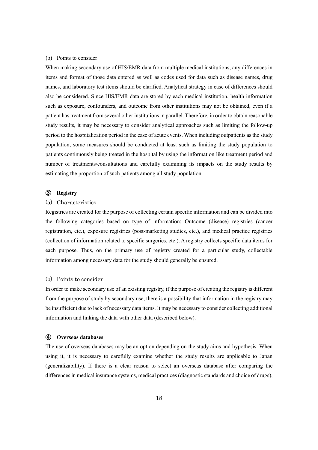## (b) Points to consider

When making secondary use of HIS/EMR data from multiple medical institutions, any differences in items and format of those data entered as well as codes used for data such as disease names, drug names, and laboratory test items should be clarified. Analytical strategy in case of differences should also be considered. Since HIS/EMR data are stored by each medical institution, health information such as exposure, confounders, and outcome from other institutions may not be obtained, even if a patient has treatment from several other institutions in parallel. Therefore, in order to obtain reasonable study results, it may be necessary to consider analytical approaches such as limiting the follow-up period to the hospitalization period in the case of acute events. When including outpatients as the study population, some measures should be conducted at least such as limiting the study population to patients continuously being treated in the hospital by using the information like treatment period and number of treatments/consultations and carefully examining its impacts on the study results by estimating the proportion of such patients among all study population.

#### <span id="page-18-0"></span>③ **Registry**

## (a) Characteristics

Registries are created for the purpose of collecting certain specific information and can be divided into the following categories based on type of information: Outcome (disease) registries (cancer registration, etc.), exposure registries (post-marketing studies, etc.), and medical practice registries (collection of information related to specific surgeries, etc.). A registry collects specific data items for each purpose. Thus, on the primary use of registry created for a particular study, collectable information among necessary data for the study should generally be ensured.

## (b) Points to consider

In order to make secondary use of an existing registry, if the purpose of creating the registry is different from the purpose of study by secondary use, there is a possibility that information in the registry may be insufficient due to lack of necessary data items. It may be necessary to consider collecting additional information and linking the data with other data (described below).

## <span id="page-18-1"></span>④ **Overseas databases**

The use of overseas databases may be an option depending on the study aims and hypothesis. When using it, it is necessary to carefully examine whether the study results are applicable to Japan (generalizability). If there is a clear reason to select an overseas database after comparing the differences in medical insurance systems, medical practices (diagnostic standards and choice of drugs),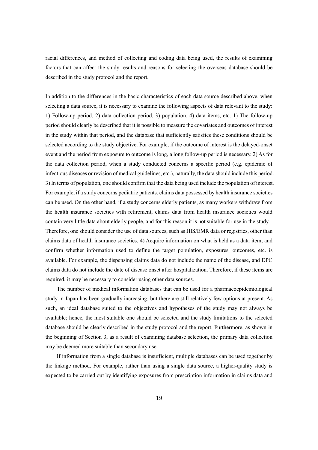racial differences, and method of collecting and coding data being used, the results of examining factors that can affect the study results and reasons for selecting the overseas database should be described in the study protocol and the report.

In addition to the differences in the basic characteristics of each data source described above, when selecting a data source, it is necessary to examine the following aspects of data relevant to the study: 1) Follow-up period, 2) data collection period, 3) population, 4) data items, etc. 1) The follow-up period should clearly be described that it is possible to measure the covariates and outcomes of interest in the study within that period, and the database that sufficiently satisfies these conditions should be selected according to the study objective. For example, if the outcome of interest is the delayed-onset event and the period from exposure to outcome is long, a long follow-up period is necessary. 2) As for the data collection period, when a study conducted concerns a specific period (e.g. epidemic of infectious diseases or revision of medical guidelines, etc.), naturally, the data should include this period. 3) In terms of population, one should confirm that the data being used include the population of interest. For example, if a study concerns pediatric patients, claims data possessed by health insurance societies can be used. On the other hand, if a study concerns elderly patients, as many workers withdraw from the health insurance societies with retirement, claims data from health insurance societies would contain very little data about elderly people, and for this reason it is not suitable for use in the study. Therefore, one should consider the use of data sources, such as HIS/EMR data or registries, other than claims data of health insurance societies. 4) Acquire information on what is held as a data item, and confirm whether information used to define the target population, exposures, outcomes, etc. is available. For example, the dispensing claims data do not include the name of the disease, and DPC claims data do not include the date of disease onset after hospitalization. Therefore, if these items are required, it may be necessary to consider using other data sources.

The number of medical information databases that can be used for a pharmacoepidemiological study in Japan has been gradually increasing, but there are still relatively few options at present. As such, an ideal database suited to the objectives and hypotheses of the study may not always be available; hence, the most suitable one should be selected and the study limitations to the selected database should be clearly described in the study protocol and the report. Furthermore, as shown in the beginning of Section 3, as a result of examining database selection, the primary data collection may be deemed more suitable than secondary use.

If information from a single database is insufficient, multiple databases can be used together by the linkage method. For example, rather than using a single data source, a higher-quality study is expected to be carried out by identifying exposures from prescription information in claims data and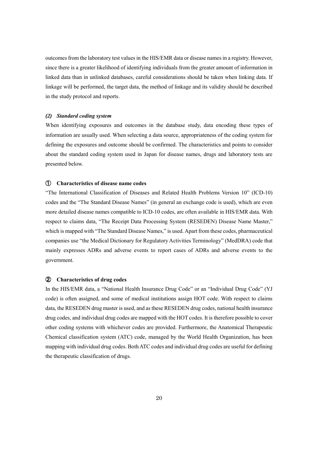outcomes from the laboratory test values in the HIS/EMR data or disease names in a registry. However, since there is a greater likelihood of identifying individuals from the greater amount of information in linked data than in unlinked databases, careful considerations should be taken when linking data. If linkage will be performed, the target data, the method of linkage and its validity should be described in the study protocol and reports.

## <span id="page-20-0"></span>*(2) Standard coding system*

When identifying exposures and outcomes in the database study, data encoding these types of information are usually used. When selecting a data source, appropriateness of the coding system for defining the exposures and outcome should be confirmed. The characteristics and points to consider about the standard coding system used in Japan for disease names, drugs and laboratory tests are presented below.

## <span id="page-20-1"></span>① **Characteristics of disease name codes**

"The International Classification of Diseases and Related Health Problems Version 10" (ICD-10) codes and the "The Standard Disease Names" (in general an exchange code is used), which are even more detailed disease names compatible to ICD-10 codes, are often available in HIS/EMR data. With respect to claims data, "The Receipt Data Processing System (RESEDEN) Disease Name Master," which is mapped with "The Standard Disease Names," is used. Apart from these codes, pharmaceutical companies use "the Medical Dictionary for Regulatory Activities Terminology" (MedDRA) code that mainly expresses ADRs and adverse events to report cases of ADRs and adverse events to the government.

## <span id="page-20-2"></span>② **Characteristics of drug codes**

In the HIS/EMR data, a "National Health Insurance Drug Code" or an "Individual Drug Code" (YJ code) is often assigned, and some of medical institutions assign HOT code. With respect to claims data, the RESEDEN drug master is used, and as these RESEDEN drug codes, national health insurance drug codes, and individual drug codes are mapped with the HOT codes. It is therefore possible to cover other coding systems with whichever codes are provided. Furthermore, the Anatomical Therapeutic Chemical classification system (ATC) code, managed by the World Health Organization, has been mapping with individual drug codes. Both ATC codes and individual drug codes are useful for defining the therapeutic classification of drugs.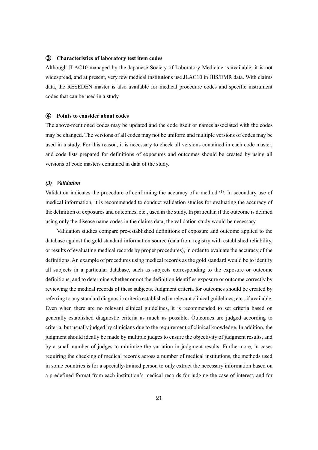#### <span id="page-21-0"></span>③ **Characteristics of laboratory test item codes**

Although JLAC10 managed by the Japanese Society of Laboratory Medicine is available, it is not widespread, and at present, very few medical institutions use JLAC10 in HIS/EMR data. With claims data, the RESEDEN master is also available for medical procedure codes and specific instrument codes that can be used in a study.

## <span id="page-21-1"></span>④ **Points to consider about codes**

The above-mentioned codes may be updated and the code itself or names associated with the codes may be changed. The versions of all codes may not be uniform and multiple versions of codes may be used in a study. For this reason, it is necessary to check all versions contained in each code master, and code lists prepared for definitions of exposures and outcomes should be created by using all versions of code masters contained in data of the study.

#### <span id="page-21-2"></span>*(3) Validation*

Validation indicates the procedure of confirming the accuracy of a method <sup>(1)</sup>. In secondary use of medical information, it is recommended to conduct validation studies for evaluating the accuracy of the definition of exposures and outcomes, etc., used in the study. In particular, if the outcome is defined using only the disease name codes in the claims data, the validation study would be necessary.

Validation studies compare pre-established definitions of exposure and outcome applied to the database against the gold standard information source (data from registry with established reliability, or results of evaluating medical records by proper procedures), in order to evaluate the accuracy of the definitions. An example of procedures using medical records as the gold standard would be to identify all subjects in a particular database, such as subjects corresponding to the exposure or outcome definitions, and to determine whether or not the definition identifies exposure or outcome correctly by reviewing the medical records of these subjects. Judgment criteria for outcomes should be created by referring to any standard diagnostic criteria established in relevant clinical guidelines, etc., if available. Even when there are no relevant clinical guidelines, it is recommended to set criteria based on generally established diagnostic criteria as much as possible. Outcomes are judged according to criteria, but usually judged by clinicians due to the requirement of clinical knowledge. In addition, the judgment should ideally be made by multiple judges to ensure the objectivity of judgment results, and by a small number of judges to minimize the variation in judgment results. Furthermore, in cases requiring the checking of medical records across a number of medical institutions, the methods used in some countries is for a specially-trained person to only extract the necessary information based on a predefined format from each institution's medical records for judging the case of interest, and for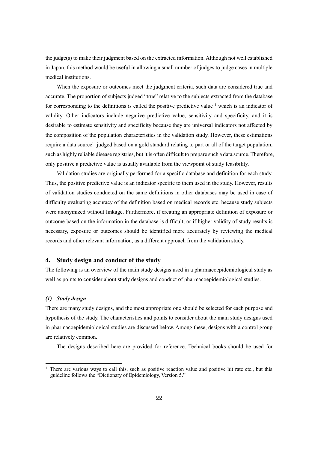the judge(s) to make their judgment based on the extracted information. Although not well established in Japan, this method would be useful in allowing a small number of judges to judge cases in multiple medical institutions.

When the exposure or outcomes meet the judgment criteria, such data are considered true and accurate. The proportion of subjects judged "true" relative to the subjects extracted from the database for corresponding to the definitions is called the positive predictive value  $\frac{1}{1}$  $\frac{1}{1}$  $\frac{1}{1}$  which is an indicator of validity. Other indicators include negative predictive value, sensitivity and specificity, and it is desirable to estimate sensitivity and specificity because they are universal indicators not affected by the composition of the population characteristics in the validation study. However, these estimations require a data source<sup>1</sup> judged based on a gold standard relating to part or all of the target population, such as highly reliable disease registries, but it is often difficult to prepare such a data source. Therefore, only positive a predictive value is usually available from the viewpoint of study feasibility.

<span id="page-22-2"></span>Validation studies are originally performed for a specific database and definition for each study. Thus, the positive predictive value is an indicator specific to them used in the study. However, results of validation studies conducted on the same definitions in other databases may be used in case of difficulty evaluating accuracy of the definition based on medical records etc. because study subjects were anonymized without linkage. Furthermore, if creating an appropriate definition of exposure or outcome based on the information in the database is difficult, or if higher validity of study results is necessary, exposure or outcomes should be identified more accurately by reviewing the medical records and other relevant information, as a different approach from the validation study.

## <span id="page-22-0"></span>**4. Study design and conduct of the study**

The following is an overview of the main study designs used in a pharmacoepidemiological study as well as points to consider about study designs and conduct of pharmacoepidemiological studies.

#### <span id="page-22-1"></span>*(1) Study design*

-

There are many study designs, and the most appropriate one should be selected for each purpose and hypothesis of the study. The characteristics and points to consider about the main study designs used in pharmacoepidemiological studies are discussed below. Among these, designs with a control group are relatively common.

The designs described here are provided for reference. Technical books should be used for

There are various ways to call this, such as positive reaction value and positive hit rate etc., but this guideline follows the "Dictionary of Epidemiology, Version 5."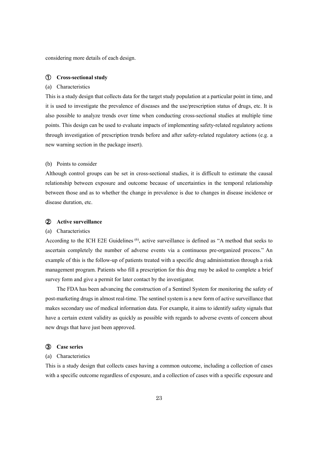considering more details of each design.

#### <span id="page-23-0"></span>① **Cross-sectional study**

#### (a) Characteristics

This is a study design that collects data for the target study population at a particular point in time, and it is used to investigate the prevalence of diseases and the use/prescription status of drugs, etc. It is also possible to analyze trends over time when conducting cross-sectional studies at multiple time points. This design can be used to evaluate impacts of implementing safety-related regulatory actions through investigation of prescription trends before and after safety-related regulatory actions (e.g. a new warning section in the package insert).

## (b) Points to consider

Although control groups can be set in cross-sectional studies, it is difficult to estimate the causal relationship between exposure and outcome because of uncertainties in the temporal relationship between those and as to whether the change in prevalence is due to changes in disease incidence or disease duration, etc.

#### <span id="page-23-1"></span>② **Active surveillance**

#### (a) Characteristics

According to the ICH E2E Guidelines <sup>(6)</sup>, active surveillance is defined as "A method that seeks to ascertain completely the number of adverse events via a continuous pre-organized process." An example of this is the follow-up of patients treated with a specific drug administration through a risk management program. Patients who fill a prescription for this drug may be asked to complete a brief survey form and give a permit for later contact by the investigator.

The FDA has been advancing the construction of a Sentinel System for monitoring the safety of post-marketing drugs in almost real-time. The sentinel system is a new form of active surveillance that makes secondary use of medical information data. For example, it aims to identify safety signals that have a certain extent validity as quickly as possible with regards to adverse events of concern about new drugs that have just been approved.

#### <span id="page-23-2"></span>③ **Case series**

#### (a) Characteristics

This is a study design that collects cases having a common outcome, including a collection of cases with a specific outcome regardless of exposure, and a collection of cases with a specific exposure and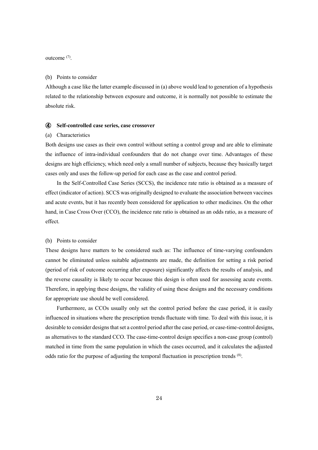outcome<sup>(7)</sup>.

#### (b) Points to consider

Although a case like the latter example discussed in (a) above would lead to generation of a hypothesis related to the relationship between exposure and outcome, it is normally not possible to estimate the absolute risk.

### <span id="page-24-0"></span>④ **Self-controlled case series, case crossover**

#### (a) Characteristics

Both designs use cases as their own control without setting a control group and are able to eliminate the influence of intra-individual confounders that do not change over time. Advantages of these designs are high efficiency, which need only a small number of subjects, because they basically target cases only and uses the follow-up period for each case as the case and control period.

In the Self-Controlled Case Series (SCCS), the incidence rate ratio is obtained as a measure of effect (indicator of action). SCCS was originally designed to evaluate the association between vaccines and acute events, but it has recently been considered for application to other medicines. On the other hand, in Case Cross Over (CCO), the incidence rate ratio is obtained as an odds ratio, as a measure of effect.

#### (b) Points to consider

These designs have matters to be considered such as: The influence of time-varying confounders cannot be eliminated unless suitable adjustments are made, the definition for setting a risk period (period of risk of outcome occurring after exposure) significantly affects the results of analysis, and the reverse causality is likely to occur because this design is often used for assessing acute events. Therefore, in applying these designs, the validity of using these designs and the necessary conditions for appropriate use should be well considered.

Furthermore, as CCOs usually only set the control period before the case period, it is easily influenced in situations where the prescription trends fluctuate with time. To deal with this issue, it is desirable to consider designs that set a control period after the case period, or case-time-control designs, as alternatives to the standard CCO. The case-time-control design specifies a non-case group (control) matched in time from the same population in which the cases occurred, and it calculates the adjusted odds ratio for the purpose of adjusting the temporal fluctuation in prescription trends (8).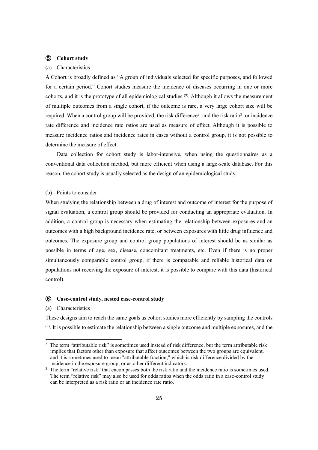## <span id="page-25-0"></span>⑤ **Cohort study**

#### (a) Characteristics

A Cohort is broadly defined as "A group of individuals selected for specific purposes, and followed for a certain period." Cohort studies measure the incidence of diseases occurring in one or more cohorts, and it is the prototype of all epidemiological studies <sup>(9)</sup>. Although it allows the measurement of multiple outcomes from a single cohort, if the outcome is rare, a very large cohort size will be required. When a control group will be provided, the risk difference<sup>2</sup> and the risk ratio<sup>3</sup> or incidence rate difference and incidence rate ratios are used as measure of effect. Although it is possible to measure incidence ratios and incidence rates in cases without a control group, it is not possible to determine the measure of effect.

Data collection for cohort study is labor-intensive, when using the questionnaires as a conventional data collection method, but more efficient when using a large-scale database. For this reason, the cohort study is usually selected as the design of an epidemiological study.

## (b) Points to consider

When studying the relationship between a drug of interest and outcome of interest for the purpose of signal evaluation, a control group should be provided for conducting an appropriate evaluation. In addition, a control group is necessary when estimating the relationship between exposures and an outcomes with a high background incidence rate, or between exposures with little drug influence and outcomes. The exposure group and control group populations of interest should be as similar as possible in terms of age, sex, disease, concomitant treatments, etc. Even if there is no proper simultaneously comparable control group, if there is comparable and reliable historical data on populations not receiving the exposure of interest, it is possible to compare with this data (historical control).

#### <span id="page-25-1"></span>⑥ **Case-control study, nested case-control study**

#### (a) Characteristics

-

These designs aim to reach the same goals as cohort studies more efficiently by sampling the controls  $(9)$ . It is possible to estimate the relationship between a single outcome and multiple exposures, and the

<sup>&</sup>lt;sup>2</sup> The term "attributable risk" is sometimes used instead of risk difference, but the term attributable risk implies that factors other than exposure that affect outcomes between the two groups are equivalent, and it is sometimes used to mean "attributable fraction," which is risk difference divided by the incidence in the exposure group, or as other different indicators.

<sup>&</sup>lt;sup>3</sup> The term "relative risk" that encompasses both the risk ratio and the incidence ratio is sometimes used. The term "relative risk" may also be used for odds ratios when the odds ratio in a case-control study can be interpreted as a risk ratio or an incidence rate ratio.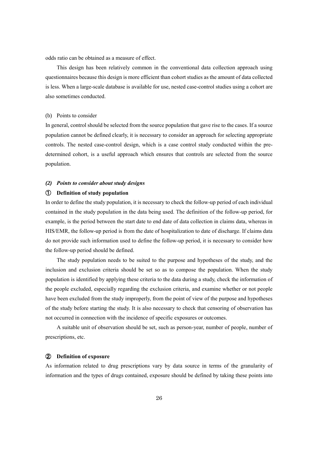odds ratio can be obtained as a measure of effect.

This design has been relatively common in the conventional data collection approach using questionnaires because this design is more efficient than cohort studies as the amount of data collected is less. When a large-scale database is available for use, nested case-control studies using a cohort are also sometimes conducted.

## (b) Points to consider

In general, control should be selected from the source population that gave rise to the cases. If a source population cannot be defined clearly, it is necessary to consider an approach for selecting appropriate controls. The nested case-control design, which is a case control study conducted within the predetermined cohort, is a useful approach which ensures that controls are selected from the source population.

## <span id="page-26-0"></span>*(2) Points to consider about study designs*

## <span id="page-26-1"></span>① **Definition of study population**

In order to define the study population, it is necessary to check the follow-up period of each individual contained in the study population in the data being used. The definition of the follow-up period, for example, is the period between the start date to end date of data collection in claims data, whereas in HIS/EMR, the follow-up period is from the date of hospitalization to date of discharge. If claims data do not provide such information used to define the follow-up period, it is necessary to consider how the follow-up period should be defined.

The study population needs to be suited to the purpose and hypotheses of the study, and the inclusion and exclusion criteria should be set so as to compose the population. When the study population is identified by applying these criteria to the data during a study, check the information of the people excluded, especially regarding the exclusion criteria, and examine whether or not people have been excluded from the study improperly, from the point of view of the purpose and hypotheses of the study before starting the study. It is also necessary to check that censoring of observation has not occurred in connection with the incidence of specific exposures or outcomes.

A suitable unit of observation should be set, such as person-year, number of people, number of prescriptions, etc.

#### <span id="page-26-2"></span>② **Definition of exposure**

As information related to drug prescriptions vary by data source in terms of the granularity of information and the types of drugs contained, exposure should be defined by taking these points into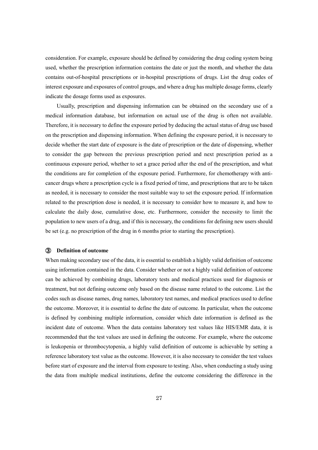consideration. For example, exposure should be defined by considering the drug coding system being used, whether the prescription information contains the date or just the month, and whether the data contains out-of-hospital prescriptions or in-hospital prescriptions of drugs. List the drug codes of interest exposure and exposures of control groups, and where a drug has multiple dosage forms, clearly indicate the dosage forms used as exposures.

Usually, prescription and dispensing information can be obtained on the secondary use of a medical information database, but information on actual use of the drug is often not available. Therefore, it is necessary to define the exposure period by deducing the actual status of drug use based on the prescription and dispensing information. When defining the exposure period, it is necessary to decide whether the start date of exposure is the date of prescription or the date of dispensing, whether to consider the gap between the previous prescription period and next prescription period as a continuous exposure period, whether to set a grace period after the end of the prescription, and what the conditions are for completion of the exposure period. Furthermore, for chemotherapy with anticancer drugs where a prescription cycle is a fixed period of time, and prescriptions that are to be taken as needed, it is necessary to consider the most suitable way to set the exposure period. If information related to the prescription dose is needed, it is necessary to consider how to measure it, and how to calculate the daily dose, cumulative dose, etc. Furthermore, consider the necessity to limit the population to new users of a drug, and if this is necessary, the conditions for defining new users should be set (e.g. no prescription of the drug in 6 months prior to starting the prescription).

## <span id="page-27-0"></span>③ **Definition of outcome**

When making secondary use of the data, it is essential to establish a highly valid definition of outcome using information contained in the data. Consider whether or not a highly valid definition of outcome can be achieved by combining drugs, laboratory tests and medical practices used for diagnosis or treatment, but not defining outcome only based on the disease name related to the outcome. List the codes such as disease names, drug names, laboratory test names, and medical practices used to define the outcome. Moreover, it is essential to define the date of outcome. In particular, when the outcome is defined by combining multiple information, consider which date information is defined as the incident date of outcome. When the data contains laboratory test values like HIS/EMR data, it is recommended that the test values are used in defining the outcome. For example, where the outcome is leukopenia or thrombocytopenia, a highly valid definition of outcome is achievable by setting a reference laboratory test value as the outcome. However, it is also necessary to consider the test values before start of exposure and the interval from exposure to testing. Also, when conducting a study using the data from multiple medical institutions, define the outcome considering the difference in the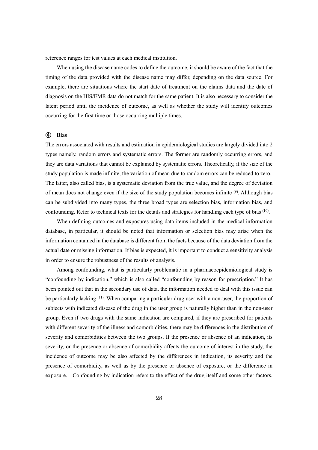reference ranges for test values at each medical institution.

When using the disease name codes to define the outcome, it should be aware of the fact that the timing of the data provided with the disease name may differ, depending on the data source. For example, there are situations where the start date of treatment on the claims data and the date of diagnosis on the HIS/EMR data do not match for the same patient. It is also necessary to consider the latent period until the incidence of outcome, as well as whether the study will identify outcomes occurring for the first time or those occurring multiple times.

## <span id="page-28-0"></span>④ **Bias**

The errors associated with results and estimation in epidemiological studies are largely divided into 2 types namely, random errors and systematic errors. The former are randomly occurring errors, and they are data variations that cannot be explained by systematic errors. Theoretically, if the size of the study population is made infinite, the variation of mean due to random errors can be reduced to zero. The latter, also called bias, is a systematic deviation from the true value, and the degree of deviation of mean does not change even if the size of the study population becomes infinite <sup>(9)</sup>. Although bias can be subdivided into many types, the three broad types are selection bias, information bias, and confounding. Refer to technical texts for the details and strategies for handling each type of bias (10).

When defining outcomes and exposures using data items included in the medical information database, in particular, it should be noted that information or selection bias may arise when the information contained in the database is different from the facts because of the data deviation from the actual date or missing information. If bias is expected, it is important to conduct a sensitivity analysis in order to ensure the robustness of the results of analysis.

Among confounding, what is particularly problematic in a pharmacoepidemiological study is "confounding by indication," which is also called "confounding by reason for prescription." It has been pointed out that in the secondary use of data, the information needed to deal with this issue can be particularly lacking <sup>(11)</sup>. When comparing a particular drug user with a non-user, the proportion of subjects with indicated disease of the drug in the user group is naturally higher than in the non-user group. Even if two drugs with the same indication are compared, if they are prescribed for patients with different severity of the illness and comorbidities, there may be differences in the distribution of severity and comorbidities between the two groups. If the presence or absence of an indication, its severity, or the presence or absence of comorbidity affects the outcome of interest in the study, the incidence of outcome may be also affected by the differences in indication, its severity and the presence of comorbidity, as well as by the presence or absence of exposure, or the difference in exposure. Confounding by indication refers to the effect of the drug itself and some other factors,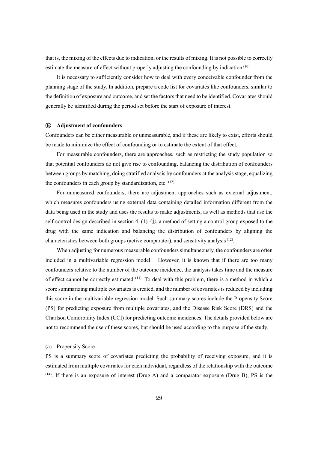that is, the mixing of the effects due to indication, or the results of mixing. It is not possible to correctly estimate the measure of effect without properly adjusting the confounding by indication (10).

It is necessary to sufficiently consider how to deal with every conceivable confounder from the planning stage of the study. In addition, prepare a code list for covariates like confounders, similar to the definition of exposure and outcome, and set the factors that need to be identified. Covariates should generally be identified during the period set before the start of exposure of interest.

#### <span id="page-29-0"></span>⑤ **Adjustment of confounders**

Confounders can be either measurable or unmeasurable, and if these are likely to exist, efforts should be made to minimize the effect of confounding or to estimate the extent of that effect.

For measurable confounders, there are approaches, such as restricting the study population so that potential confounders do not give rise to confounding, balancing the distribution of confounders between groups by matching, doing stratified analysis by confounders at the analysis stage, equalizing the confounders in each group by standardization, etc. (12)

For unmeasured confounders, there are adjustment approaches such as external adjustment, which measures confounders using external data containing detailed information different from the data being used in the study and uses the results to make adjustments, as well as methods that use the self-control design described in section 4. (1) ④, a method of setting a control group exposed to the drug with the same indication and balancing the distribution of confounders by aligning the characteristics between both groups (active comparator), and sensitivity analysis<sup>(12)</sup>.

When adjusting for numerous measurable confounders simultaneously, the confounders are often included in a multivariable regression model. However, it is known that if there are too many confounders relative to the number of the outcome incidence, the analysis takes time and the measure of effect cannot be correctly estimated <sup>(13)</sup>. To deal with this problem, there is a method in which a score summarizing multiple covariates is created, and the number of covariates is reduced by including this score in the multivariable regression model. Such summary scores include the Propensity Score (PS) for predicting exposure from multiple covariates, and the Disease Risk Score (DRS) and the Charlson Comorbidity Index (CCI) for predicting outcome incidences. The details provided below are not to recommend the use of these scores, but should be used according to the purpose of the study.

#### (a) Propensity Score

PS is a summary score of covariates predicting the probability of receiving exposure, and it is estimated from multiple covariates for each individual, regardless of the relationship with the outcome  $(14)$ . If there is an exposure of interest (Drug A) and a comparator exposure (Drug B), PS is the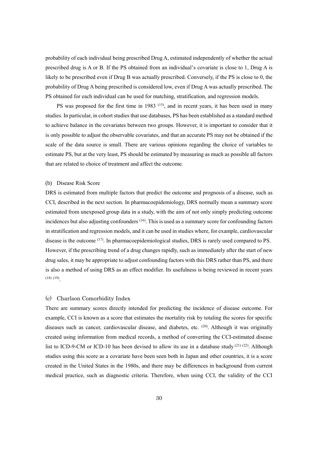probability of each individual being prescribed Drug A, estimated independently of whether the actual prescribed drug is A or B. If the PS obtained from an individual's covariate is close to 1, Drug A is likely to be prescribed even if Drug B was actually prescribed. Conversely, if the PS is close to 0, the probability of Drug A being prescribed is considered low, even if Drug A was actually prescribed. The PS obtained for each individual can be used for matching, stratification, and regression models.

PS was proposed for the first time in 1983 (15), and in recent years, it has been used in many studies. In particular, in cohort studies that use databases, PS has been established as a standard method to achieve balance in the covariates between two groups. However, it is important to consider that it is only possible to adjust the observable covariates, and that an accurate PS may not be obtained if the scale of the data source is small. There are various opinions regarding the choice of variables to estimate PS, but at the very least, PS should be estimated by measuring as much as possible all factors that are related to choice of treatment and affect the outcome.

#### (b) Disease Risk Score

DRS is estimated from multiple factors that predict the outcome and prognosis of a disease, such as CCI, described in the next section. In pharmacoepidemiology, DRS normally mean a summary score estimated from unexposed group data in a study, with the aim of not only simply predicting outcome incidences but also adjusting confounders (16). This is used as a summary score for confounding factors in stratification and regression models, and it can be used in studies where, for example, cardiovascular disease is the outcome <sup>(17)</sup>. In pharmacoepidemiological studies, DRS is rarely used compared to PS. However, if the prescribing trend of a drug changes rapidly, such as immediately after the start of new drug sales, it may be appropriate to adjust confounding factors with this DRS rather than PS, and there is also a method of using DRS as an effect modifier. Its usefulness is being reviewed in recent years (18) (19) .

#### (c) Charlson Comorbidity Index

There are summary scores directly intended for predicting the incidence of disease outcome. For example, CCI is known as a score that estimates the mortality risk by totaling the scores for specific diseases such as cancer, cardiovascular disease, and diabetes, etc. <sup>(20)</sup>. Although it was originally created using information from medical records, a method of converting the CCI-estimated disease list to ICD-9-CM or ICD-10 has been devised to allow its use in a database study  $(21)$   $(22)$ . Although studies using this score as a covariate have been seen both in Japan and other countries, it is a score created in the United States in the 1980s, and there may be differences in background from current medical practice, such as diagnostic criteria. Therefore, when using CCI, the validity of the CCI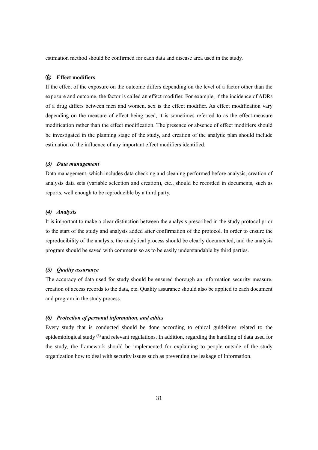estimation method should be confirmed for each data and disease area used in the study.

## <span id="page-31-0"></span>⑥ **Effect modifiers**

If the effect of the exposure on the outcome differs depending on the level of a factor other than the exposure and outcome, the factor is called an effect modifier. For example, if the incidence of ADRs of a drug differs between men and women, sex is the effect modifier. As effect modification vary depending on the measure of effect being used, it is sometimes referred to as the effect-measure modification rather than the effect modification. The presence or absence of effect modifiers should be investigated in the planning stage of the study, and creation of the analytic plan should include estimation of the influence of any important effect modifiers identified.

## <span id="page-31-1"></span>*(3) Data management*

Data management, which includes data checking and cleaning performed before analysis, creation of analysis data sets (variable selection and creation), etc., should be recorded in documents, such as reports, well enough to be reproducible by a third party.

## <span id="page-31-2"></span>*(4) Analysis*

It is important to make a clear distinction between the analysis prescribed in the study protocol prior to the start of the study and analysis added after confirmation of the protocol. In order to ensure the reproducibility of the analysis, the analytical process should be clearly documented, and the analysis program should be saved with comments so as to be easily understandable by third parties.

## <span id="page-31-3"></span>*(5) Quality assurance*

The accuracy of data used for study should be ensured thorough an information security measure, creation of access records to the data, etc. Quality assurance should also be applied to each document and program in the study process.

#### <span id="page-31-4"></span>*(6) Protection of personal information, and ethics*

Every study that is conducted should be done according to ethical guidelines related to the epidemiological study (5) and relevant regulations. In addition, regarding the handling of data used for the study, the framework should be implemented for explaining to people outside of the study organization how to deal with security issues such as preventing the leakage of information.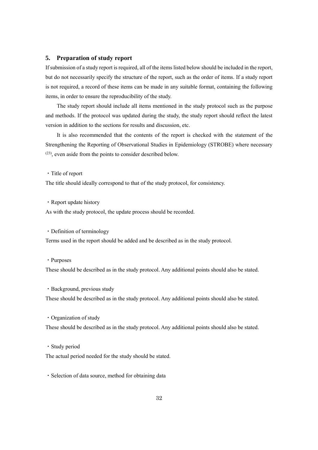## <span id="page-32-0"></span>**5. Preparation of study report**

If submission of a study report is required, all of the items listed below should be included in the report, but do not necessarily specify the structure of the report, such as the order of items. If a study report is not required, a record of these items can be made in any suitable format, containing the following items, in order to ensure the reproducibility of the study.

The study report should include all items mentioned in the study protocol such as the purpose and methods. If the protocol was updated during the study, the study report should reflect the latest version in addition to the sections for results and discussion, etc.

It is also recommended that the contents of the report is checked with the statement of the Strengthening the Reporting of Observational Studies in Epidemiology (STROBE) where necessary (23), even aside from the points to consider described below.

・Title of report

The title should ideally correspond to that of the study protocol, for consistency.

・Report update history

As with the study protocol, the update process should be recorded.

・Definition of terminology

Terms used in the report should be added and be described as in the study protocol.

・Purposes

These should be described as in the study protocol. Any additional points should also be stated.

・Background, previous study

These should be described as in the study protocol. Any additional points should also be stated.

・Organization of study

These should be described as in the study protocol. Any additional points should also be stated.

・Study period

The actual period needed for the study should be stated.

・Selection of data source, method for obtaining data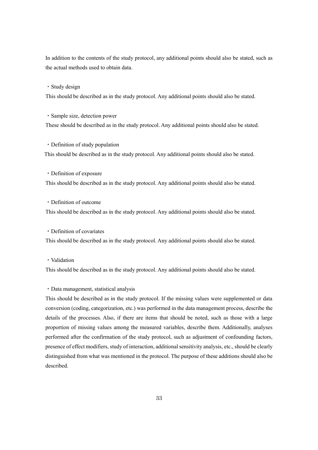In addition to the contents of the study protocol, any additional points should also be stated, such as the actual methods used to obtain data.

・Study design

This should be described as in the study protocol. Any additional points should also be stated.

・Sample size, detection power

These should be described as in the study protocol. Any additional points should also be stated.

・Definition of study population This should be described as in the study protocol. Any additional points should also be stated.

・Definition of exposure

This should be described as in the study protocol. Any additional points should also be stated.

・Definition of outcome

This should be described as in the study protocol. Any additional points should also be stated.

・Definition of covariates

This should be described as in the study protocol. Any additional points should also be stated.

・Validation

This should be described as in the study protocol. Any additional points should also be stated.

・Data management, statistical analysis

This should be described as in the study protocol. If the missing values were supplemented or data conversion (coding, categorization, etc.) was performed in the data management process, describe the details of the processes. Also, if there are items that should be noted, such as those with a large proportion of missing values among the measured variables, describe them. Additionally, analyses performed after the confirmation of the study protocol, such as adjustment of confounding factors, presence of effect modifiers, study of interaction, additional sensitivity analysis, etc., should be clearly distinguished from what was mentioned in the protocol. The purpose of these additions should also be described.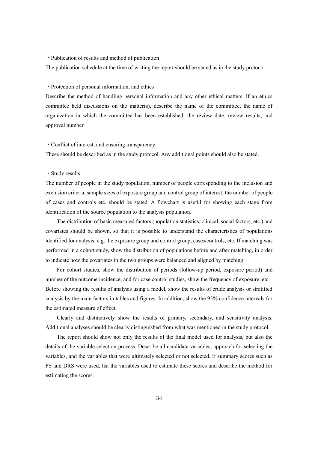#### ・Publication of results and method of publication

The publication schedule at the time of writing the report should be stated as in the study protocol.

## ・Protection of personal information, and ethics

Describe the method of handling personal information and any other ethical matters. If an ethics committee held discussions on the matter(s), describe the name of the committee, the name of organization in which the committee has been established, the review date, review results, and approval number.

## ・Conflict of interest, and ensuring transparency

These should be described as in the study protocol. Any additional points should also be stated.

## ・Study results

The number of people in the study population, number of people corresponding to the inclusion and exclusion criteria, sample sizes of exposure group and control group of interest, the number of people of cases and controls etc. should be stated. A flowchart is useful for showing each stage from identification of the source population to the analysis population.

The distribution of basic measured factors (population statistics, clinical, social factors, etc.) and covariates should be shown, so that it is possible to understand the characteristics of populations identified for analysis, e.g. the exposure group and control group, cases/controls, etc. If matching was performed in a cohort study, show the distribution of populations before and after matching, in order to indicate how the covariates in the two groups were balanced and aligned by matching.

For cohort studies, show the distribution of periods (follow-up period, exposure period) and number of the outcome incidence, and for case control studies, show the frequency of exposure, etc. Before showing the results of analysis using a model, show the results of crude analysis or stratified analysis by the main factors in tables and figures. In addition, show the 95% confidence intervals for the estimated measure of effect.

Clearly and distinctively show the results of primary, secondary, and sensitivity analysis. Additional analyses should be clearly distinguished from what was mentioned in the study protocol.

The report should show not only the results of the final model used for analysis, but also the details of the variable selection process. Describe all candidate variables, approach for selecting the variables, and the variables that were ultimately selected or not selected. If summary scores such as PS and DRS were used, list the variables used to estimate these scores and describe the method for estimating the scores.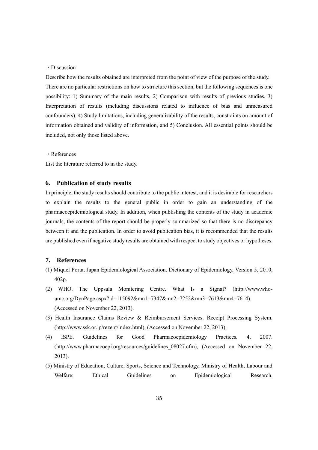## ・Discussion

Describe how the results obtained are interpreted from the point of view of the purpose of the study. There are no particular restrictions on how to structure this section, but the following sequences is one possibility: 1) Summary of the main results, 2) Comparison with results of previous studies, 3) Interpretation of results (including discussions related to influence of bias and unmeasured confounders), 4) Study limitations, including generalizability of the results, constraints on amount of information obtained and validity of information, and 5) Conclusion. All essential points should be included, not only those listed above.

・References

List the literature referred to in the study.

## <span id="page-35-0"></span>**6. Publication of study results**

In principle, the study results should contribute to the public interest, and it is desirable for researchers to explain the results to the general public in order to gain an understanding of the pharmacoepidemiological study. In addition, when publishing the contents of the study in academic journals, the contents of the report should be properly summarized so that there is no discrepancy between it and the publication. In order to avoid publication bias, it is recommended that the results are published even if negative study results are obtained with respect to study objectives or hypotheses.

## <span id="page-35-1"></span>**7. References**

- (1) Miquel Porta, Japan Epidemlological Association. Dictionary of Epidemiology, Version 5, 2010, 402p.
- (2) WHO. The Uppsala Monitering Centre. What Is a Signal? (http://www.whoumc.org/DynPage.aspx?id=115092&mn1=7347&mn2=7252&mn3=7613&mn4=7614), (Accessed on November 22, 2013).
- (3) Health Insurance Claims Review & Reimbursement Services. Receipt Processing System. (http://www.ssk.or.jp/rezept/index.html), (Accessed on November 22, 2013).
- (4) ISPE. Guidelines for Good Pharmacoepidemiology Practices. 4, 2007. (http://www.pharmacoepi.org/resources/guidelines\_08027.cfm), (Accessed on November 22, 2013).
- (5) Ministry of Education, Culture, Sports, Science and Technology, Ministry of Health, Labour and Welfare: Ethical Guidelines on Epidemiological Research.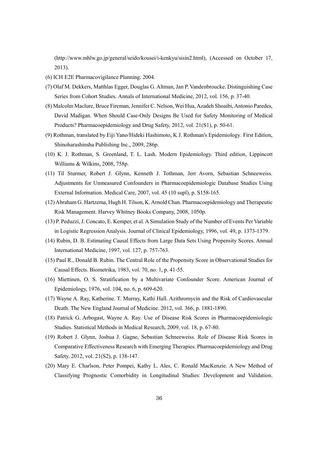(http://www.mhlw.go.jp/general/seido/kousei/i-kenkyu/sisin2.html), (Accessed on October 17, 2013).

- (6) ICH E2E Pharmacovigilance Planning. 2004.
- (7) Olaf M. Dekkers, Matthlas Egger, Douglas G. Altman, Jan P. Vandenbroucke. Distinguishing Case Series from Cohort Studies. Annals of International Medicine, 2012, vol. 156, p. 37-40.
- (8) Malcolm Maclure, Bruce Fireman, Jennifer C. Nelson, Wei Hua, Azadeh Shoaibi, Antonio Paredes, David Madigan. When Should Case-Only Designs Be Used for Safety Monitoring of Medical Products? Pharmacoepidemiology and Drug Safety, 2012, vol. 21(S1), p. 50-61.
- (9) Rothman, translated by Eiji Yano/Hideki Hashimoto, K J. Rothman's Epidemiology*.* First Edition, Shinoharashinsha Publishing Inc., 2009, 286p.
- (10) K. J. Rothman, S. Greenland, T. L. Lash. Modern Epidemiology. Third edition, Lippincott Williams & Wilkins, 2008, 758p.
- (11) Til Sturmer, Robert J. Glynn, Kenneth J. Tothman, Jerr Avorn, Sebastian Schneeweiss. Adjustments for Unmeasured Confounders in Pharmacoepidemiologic Database Studies Using External Information. Medical Care, 2007, vol. 45 (10 supl), p. S158-165.
- (12)Abraham G. Hartzema, Hugh H. Tilson, K. Arnold Chan. Pharmacoepidemiology and Therapeutic Risk Management. Harvey Whitney Books Company, 2008, 1050p.
- (13) P. Peduzzi, J. Concato, E. Kemper, et al. A Simulation Study of the Number of Events Per Variable in Logistic Regression Analysis. Journal of Clinical Epidemiology, 1996, vol. 49, p. 1373-1379.
- (14) Rubin, D. B. Estimating Causal Effects from Large Data Sets Using Propensity Scores. Annual International Medicine, 1997, vol. 127, p. 757-763.
- (15) Paul R., Donald B. Rubin. The Central Role of the Propensity Score in Observational Studies for Causal Effects. Biometrika, 1983, vol. 70, no. 1, p. 41-55.
- (16) Miettinen, O. S. Stratification by a Multivariate Confounder Score. American Journal of Epidemiology, 1976, vol. 104, no. 6, p. 609-620.
- (17) Wayne A. Ray, Katherine. T. Murray, Kathi Hall. Azithromycin and the Risk of Cardiovascular Death. The New England Journal of Medicine. 2012, vol. 366, p. 1881-1890.
- (18) Patrick G. Arbogast, Wayne A. Ray. Use of Disease Risk Scores in Pharmacoepidemiologic Studies. Statistical Methods in Medical Research, 2009, vol. 18, p. 67-80.
- (19) Robert J. Glynn, Joshua J. Gagne, Sebastian Schneeweiss. Role of Disease Risk Scores in Comparative Effectiveness Research with Emerging Therapies. Pharmacoepidemiology and Drug Safety. 2012, vol. 21(S2), p. 138-147.
- (20) Mary E. Charlson, Peter Pompei, Kathy L. Ales, C. Ronald MacKenzie. A New Method of Classifying Prognostic Comorbidity in Longitudinal Studies: Development and Validation.